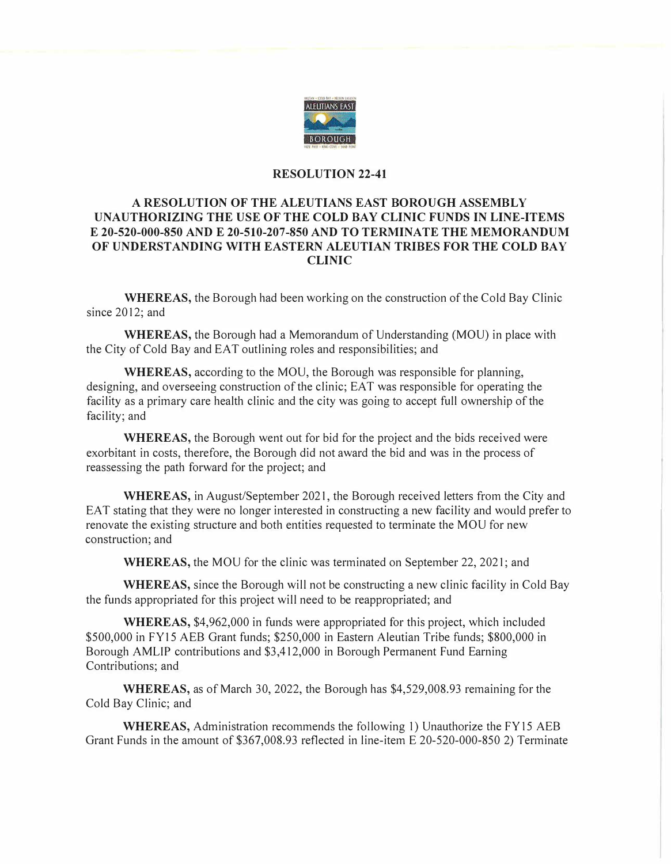

## **RESOLUTION 22-41**

## **A RESOLUTION OF THE ALEUTIANS EAST BOROUGH ASSEMBLY UNAUTHORIZING THE USE OF THE COLD BAY CLINIC FUNDS IN LINE-ITEMS E 20-520-000-850 AND E 20-510-207-850 AND TO TERMINATE THE MEMORANDUM OF UNDERSTANDING WITH EASTERN ALEUTIAN TRIBES FOR THE COLD BAY CLINIC**

**WHEREAS,** the Borough had been working on the construction of the Cold Bay Clinic since 2012; and

**WHEREAS,** the Borough had a Memorandum of Understanding (MOU) in place with the City of Cold Bay and EAT outlining roles and responsibilities; and

**WHEREAS,** according to the MOU, the Borough was responsible for planning, designing, and overseeing construction of the clinic; EAT was responsible for operating the facility as a primary care health clinic and the city was going to accept full ownership of the facility; and

**WHEREAS,** the Borough went out for bid for the project and the bids received were exorbitant in costs, therefore, the Borough did not award the bid and was in the process of reassessing the path forward for the project; and

**WHEREAS,** in August/September 2021, the Borough received letters from the City and EAT stating that they were no longer interested in constructing a new facility and would prefer to renovate the existing structure and both entities requested to terminate the MOU for new construction; and

**WHEREAS,** the MOU for the clinic was terminated on September 22, 2021; and

**WHEREAS,** since the Borough will not be constructing a new clinic facility in Cold Bay the funds appropriated for this project will need to be reappropriated; and

**WHEREAS,** \$4,962,000 in funds were appropriated for this project, which included \$500,000 in FY 15 AEB Grant funds; \$250,000 in Eastern Aleutian Tribe funds; \$800,000 in Borough AMLIP contributions and \$3,412,000 in Borough Permanent Fund Earning Contributions; and

**WHEREAS,** as of March 30, 2022, the Borough has \$4,529,008.93 remaining for the Cold Bay Clinic; and

**WHEREAS,** Administration recommends the following 1) Unauthorize the FY15 AEB Grant Funds in the amount of \$367,008.93 reflected in line-item E 20-520-000-850 2) Terminate